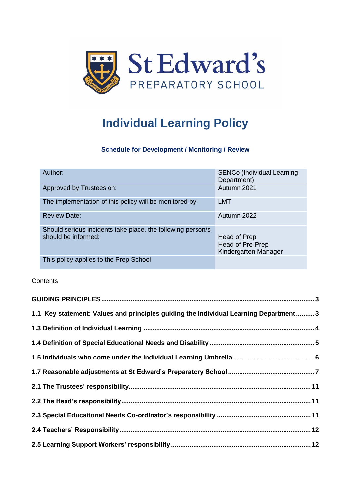

# **Individual Learning Policy**

## **Schedule for Development / Monitoring / Review**

| Author:                                                                            | SENCo (Individual Learning<br>Department)                |
|------------------------------------------------------------------------------------|----------------------------------------------------------|
| Approved by Trustees on:                                                           | Autumn 2021                                              |
| The implementation of this policy will be monitored by:                            | <b>LMT</b>                                               |
| <b>Review Date:</b>                                                                | Autumn 2022                                              |
| Should serious incidents take place, the following person/s<br>should be informed: | Head of Prep<br>Head of Pre-Prep<br>Kindergarten Manager |
| This policy applies to the Prep School                                             |                                                          |

**Contents** 

| 1.1 Key statement: Values and principles guiding the Individual Learning Department3 |  |
|--------------------------------------------------------------------------------------|--|
|                                                                                      |  |
|                                                                                      |  |
|                                                                                      |  |
|                                                                                      |  |
|                                                                                      |  |
|                                                                                      |  |
|                                                                                      |  |
|                                                                                      |  |
|                                                                                      |  |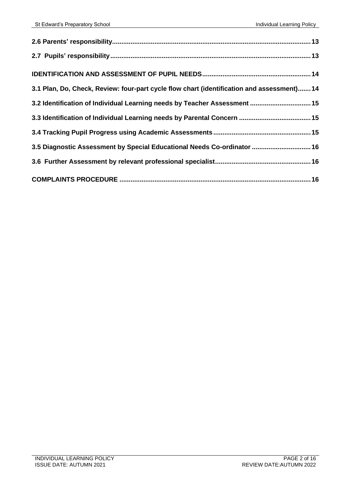| 3.1 Plan, Do, Check, Review: four-part cycle flow chart (identification and assessment) 14 |  |
|--------------------------------------------------------------------------------------------|--|
| 3.2 Identification of Individual Learning needs by Teacher Assessment  15                  |  |
|                                                                                            |  |
|                                                                                            |  |
| 3.5 Diagnostic Assessment by Special Educational Needs Co-ordinator  16                    |  |
|                                                                                            |  |
|                                                                                            |  |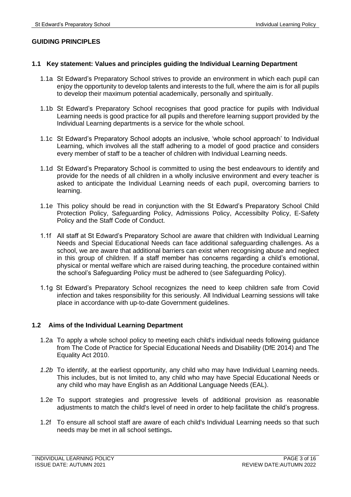## <span id="page-2-0"></span>**GUIDING PRINCIPLES**

## <span id="page-2-1"></span>**1.1 Key statement: Values and principles guiding the Individual Learning Department**

- 1.1a St Edward's Preparatory School strives to provide an environment in which each pupil can enjoy the opportunity to develop talents and interests to the full, where the aim is for all pupils to develop their maximum potential academically, personally and spiritually.
- 1.1b St Edward's Preparatory School recognises that good practice for pupils with Individual Learning needs is good practice for all pupils and therefore learning support provided by the Individual Learning departments is a service for the whole school.
- 1.1c St Edward's Preparatory School adopts an inclusive, 'whole school approach' to Individual Learning, which involves all the staff adhering to a model of good practice and considers every member of staff to be a teacher of children with Individual Learning needs.
- 1.1d St Edward's Preparatory School is committed to using the best endeavours to identify and provide for the needs of all children in a wholly inclusive environment and every teacher is asked to anticipate the Individual Learning needs of each pupil, overcoming barriers to learning.
- 1.1e This policy should be read in conjunction with the St Edward's Preparatory School Child Protection Policy, Safeguarding Policy, Admissions Policy, Accessibilty Policy, E-Safety Policy and the Staff Code of Conduct.
- 1.1f All staff at St Edward's Preparatory School are aware that children with Individual Learning Needs and Special Educational Needs can face additional safeguarding challenges. As a school, we are aware that additional barriers can exist when recognising abuse and neglect in this group of children. If a staff member has concerns regarding a child's emotional, physical or mental welfare which are raised during teaching, the procedure contained within the school's Safeguarding Policy must be adhered to (see Safeguarding Policy).
- 1.1g St Edward's Preparatory School recognizes the need to keep children safe from Covid infection and takes responsibility for this seriously. All Individual Learning sessions will take place in accordance with up-to-date Government guidelines.

## **1.2 Aims of the Individual Learning Department**

- 1.2a To apply a whole school policy to meeting each child's individual needs following guidance from The Code of Practice for Special Educational Needs and Disability (DfE 2014) and The Equality Act 2010.
- *1.2b* To identify, at the earliest opportunity, any child who may have Individual Learning needs. This includes, but is not limited to, any child who may have Special Educational Needs or any child who may have English as an Additional Language Needs (EAL).
- 1.2e To support strategies and progressive levels of additional provision as reasonable adjustments to match the child's level of need in order to help facilitate the child's progress.
- 1.2f To ensure all school staff are aware of each child's Individual Learning needs so that such needs may be met in all school settings**.**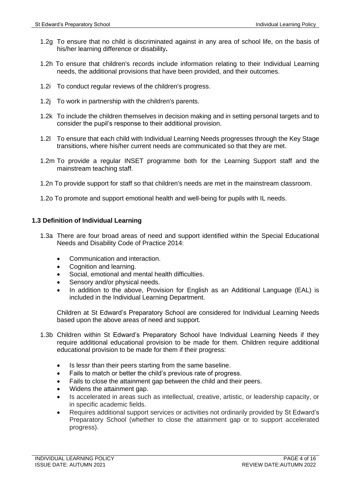- 1.2g To ensure that no child is discriminated against in any area of school life, on the basis of his/her learning difference or disability**.**
- 1.2h To ensure that children's records include information relating to their Individual Learning needs, the additional provisions that have been provided, and their outcomes.
- 1.2i To conduct regular reviews of the children's progress.
- 1.2j To work in partnership with the children's parents.
- 1.2k To include the children themselves in decision making and in setting personal targets and to consider the pupil's response to their additional provision.
- 1.2l To ensure that each child with Individual Learning Needs progresses through the Key Stage transitions, where his/her current needs are communicated so that they are met.
- 1.2m To provide a regular INSET programme both for the Learning Support staff and the mainstream teaching staff.
- 1.2n To provide support for staff so that children's needs are met in the mainstream classroom.
- 1.2o To promote and support emotional health and well-being for pupils with IL needs.

## <span id="page-3-0"></span>**1.3 Definition of Individual Learning**

- 1.3a There are four broad areas of need and support identified within the Special Educational Needs and Disability Code of Practice 2014:
	- Communication and interaction.
	- Cognition and learning.
	- Social, emotional and mental health difficulties.
	- Sensory and/or physical needs.
	- In addition to the above, Provision for English as an Additional Language (EAL) is included in the Individual Learning Department.

Children at St Edward's Preparatory School are considered for Individual Learning Needs based upon the above areas of need and support.

- 1.3b Children within St Edward's Preparatory School have Individual Learning Needs if they require additional educational provision to be made for them. Children require additional educational provision to be made for them if their progress:
	- Is lessr than their peers starting from the same baseline.
	- Fails to match or better the child's previous rate of progress.
	- Fails to close the attainment gap between the child and their peers.
	- Widens the attainment gap.
	- Is accelerated in areas such as intellectual, creative, artistic, or leadership capacity, or in specific academic fields.
	- Requires additional support services or activities not ordinarily provided by St Edward's Preparatory School (whether to close the attainment gap or to support accelerated progress).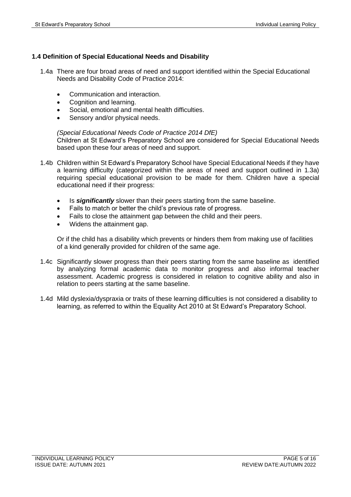## <span id="page-4-0"></span>**1.4 Definition of Special Educational Needs and Disability**

- 1.4a There are four broad areas of need and support identified within the Special Educational Needs and Disability Code of Practice 2014:
	- Communication and interaction.
	- Cognition and learning.
	- Social, emotional and mental health difficulties.
	- Sensory and/or physical needs.

*(Special Educational Needs Code of Practice 2014 DfE)* Children at St Edward's Preparatory School are considered for Special Educational Needs based upon these four areas of need and support.

- 1.4b Children within St Edward's Preparatory School have Special Educational Needs if they have a learning difficulty (categorized within the areas of need and support outlined in 1.3a) requiring special educational provision to be made for them. Children have a special educational need if their progress:
	- Is *significantly* slower than their peers starting from the same baseline.
	- Fails to match or better the child's previous rate of progress.
	- Fails to close the attainment gap between the child and their peers.
	- Widens the attainment gap.

Or if the child has a disability which prevents or hinders them from making use of facilities of a kind generally provided for children of the same age.

- 1.4c Significantly slower progress than their peers starting from the same baseline as identified by analyzing formal academic data to monitor progress and also informal teacher assessment. Academic progress is considered in relation to cognitive ability and also in relation to peers starting at the same baseline.
- 1.4d Mild dyslexia/dyspraxia or traits of these learning difficulties is not considered a disability to learning, as referred to within the Equality Act 2010 at St Edward's Preparatory School.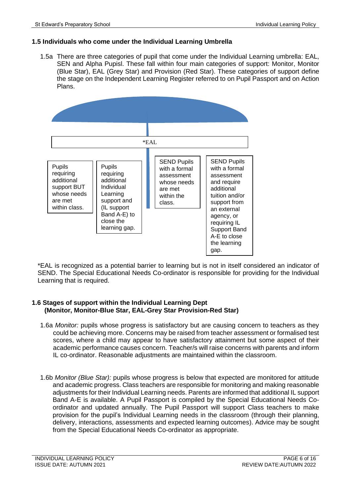## <span id="page-5-0"></span>**1.5 Individuals who come under the Individual Learning Umbrella**

1.5a There are three categories of pupil that come under the Individual Learning umbrella: EAL, SEN and Alpha Pupisl. These fall within four main categories of support: Monitor, Monitor (Blue Star), EAL (Grey Star) and Provision (Red Star). These categories of support define the stage on the Independent Learning Register referred to on Pupil Passport and on Action Plans.



\*EAL is recognized as a potential barrier to learning but is not in itself considered an indicator of SEND. The Special Educational Needs Co-ordinator is responsible for providing for the Individual Learning that is required.

## **1.6 Stages of support within the Individual Learning Dept (Monitor, Monitor-Blue Star, EAL-Grey Star Provision-Red Star)**

- 1.6a *Monitor:* pupils whose progress is satisfactory but are causing concern to teachers as they could be achieving more. Concerns may be raised from teacher assessment or formalised test scores, where a child may appear to have satisfactory attainment but some aspect of their academic performance causes concern. Teacher/s will raise concerns with parents and inform IL co-ordinator. Reasonable adjustments are maintained within the classroom.
- 1.6b *Monitor (Blue Star):* pupils whose progress is below that expected are monitored for attitude and academic progress. Class teachers are responsible for monitoring and making reasonable adjustments for their Individual Learning needs. Parents are informed that additional IL support Band A-E is available. A Pupil Passport is compiled by the Special Educational Needs Coordinator and updated annually. The Pupil Passport will support Class teachers to make provision for the pupil's Individual Learning needs in the classroom (through their planning, delivery, interactions, assessments and expected learning outcomes). Advice may be sought from the Special Educational Needs Co-ordinator as appropriate.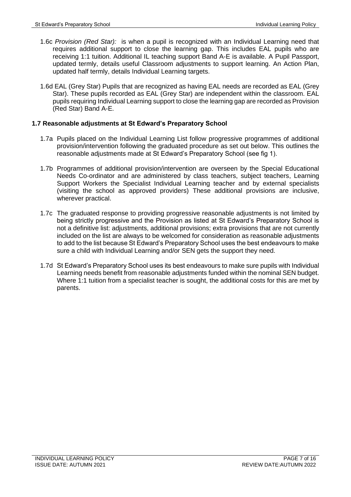- 1.6c *Provision (Red Star):* is when a pupil is recognized with an Individual Learning need that requires additional support to close the learning gap. This includes EAL pupils who are receiving 1:1 tuition. Additional IL teaching support Band A-E is available. A Pupil Passport, updated termly, details useful Classroom adjustments to support learning. An Action Plan, updated half termly, details Individual Learning targets.
- 1.6d EAL (Grey Star) Pupils that are recognized as having EAL needs are recorded as EAL (Grey Star). These pupils recorded as EAL (Grey Star) are independent within the classroom. EAL pupils requiring Individual Learning support to close the learning gap are recorded as Provision (Red Star) Band A-E.

## <span id="page-6-0"></span>**1.7 Reasonable adjustments at St Edward's Preparatory School**

- 1.7a Pupils placed on the Individual Learning List follow progressive programmes of additional provision/intervention following the graduated procedure as set out below. This outlines the reasonable adjustments made at St Edward's Preparatory School (see fig 1).
- 1.7b Programmes of additional provision/intervention are overseen by the Special Educational Needs Co-ordinator and are administered by class teachers, subject teachers, Learning Support Workers the Specialist Individual Learning teacher and by external specialists (visiting the school as approved providers) These additional provisions are inclusive, wherever practical.
- 1.7c The graduated response to providing progressive reasonable adjustments is not limited by being strictly progressive and the Provision as listed at St Edward's Preparatory School is not a definitive list: adjustments, additional provisions; extra provisions that are not currently included on the list are always to be welcomed for consideration as reasonable adjustments to add to the list because St Edward's Preparatory School uses the best endeavours to make sure a child with Individual Learning and/or SEN gets the support they need.
- 1.7d St Edward's Preparatory School uses its best endeavours to make sure pupils with Individual Learning needs benefit from reasonable adjustments funded within the nominal SEN budget. Where 1:1 tuition from a specialist teacher is sought, the additional costs for this are met by parents.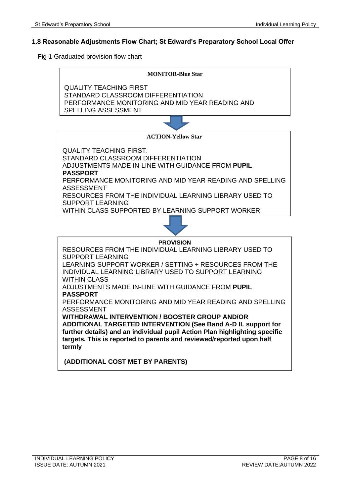## **1.8 Reasonable Adjustments Flow Chart; St Edward's Preparatory School Local Offer**

Fig 1 Graduated provision flow chart

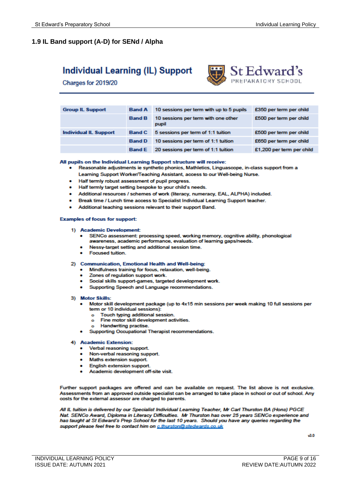## **1.9 IL Band support (A-D) for SENd / Alpha**

## **Individual Learning (IL) Support**

Charges for 2019/20



| <b>Group IL Support</b>      | <b>Band A</b> | 10 sessions per term with up to 5 pupils     | £350 per term per child   |
|------------------------------|---------------|----------------------------------------------|---------------------------|
|                              | <b>Band B</b> | 10 sessions per term with one other<br>pupil | £500 per term per child   |
| <b>Individual IL Support</b> | <b>Band C</b> | 5 sessions per term of 1:1 tuition           | £500 per term per child   |
|                              | <b>Band D</b> | 10 sessions per term of 1:1 tuition          | £650 per term per child   |
|                              | <b>Band E</b> | 20 sessions per term of 1:1 tuition          | £1,200 per term per child |

#### All pupils on the Individual Learning Support structure will receive:

- . Reasonable adjustments ie synthetic phonics, Mathletics, Linguascope, in-class support from a Learning Support Worker/Teaching Assistant, access to our Well-being Nurse.
- Half termly robust assessment of pupil progress.
- Half termly target setting bespoke to your child's needs.
- Additional resources / schemes of work (literacy, numeracy, EAL, ALPHA) included.
- Break time / Lunch time access to Specialist Individual Learning Support teacher.
- Additional teaching sessions relevant to their support Band.

#### **Examples of focus for support:**

#### 1) Academic Development:

- . SENCo assessment: processing speed, working memory, cognitive ability, phonological awareness, academic performance, evaluation of learning gaps/needs.
- Nessy-target setting and additional session time.
- **Focused tuition.**

#### 2) Communication, Emotional Health and Well-being:

- Mindfulness training for focus, relaxation, well-being.
- Zones of regulation support work.
- Social skills support-games, targeted development work.
- Supporting Speech and Language recommendations.

#### 3) Motor Skills:

- Motor skill development package (up to 4x15 min sessions per week making 10 full sessions per term or 10 individual sessions):
	- Touch typing additional session.  $\bullet$
	- o Fine motor skill development activities.
	- o Handwriting practise.
- Supporting Occupational Therapist recommendations.

#### 4) Academic Extension:

- Verbal reasoning support
- Non-verbal reasoning support.
- Maths extension support
- **English extension support.**
- Academic development off-site visit.

Further support packages are offered and can be available on request. The list above is not exclusive. Assessments from an approved outside specialist can be arranged to take place in school or out of school. Any costs for the external assessor are charged to parents.

All IL tuition is delivered by our Specialist Individual Learning Teacher, Mr Carl Thurston BA (Hons) PGCE Nat. SENCo Award, Diploma in Literacy Difficulties. Mr Thurston has over 25 years SENCo experience and has taught at St Edward's Prep School for the last 10 years. Should you have any queries regarding the support please feel free to contact him on c.thurston@stedwards.co.uk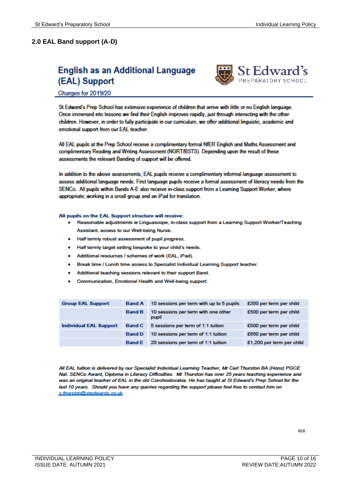## **2.0 EAL Band support (A-D)**

## **English as an Additional Language** (EAL) Support



### Charges for 2019/20

St Edward's Prep School has extensive experience of children that arrive with little or no English language. Once immersed into lessons we find their English improves rapidly, just through interacting with the other children. However, in order to fully participate in our curriculum, we offer additional linguistic, academic and emotional support from our EAL teacher.

All EAL pupils at the Prep School receive a complimentary formal NfER English and Maths Assessment and complimentary Reading and Writing Assessment (NGRT/BSTS). Depending upon the result of these assessments the relevant Banding of support will be offered.

In addition to the above assessments, EAL pupils receive a complimentary informal language assessment to assess additional language needs. First language pupils receive a formal assessment of literacy needs from the SENCo. All pupils within Bands A-E also receive in-class support from a Learning Support Worker, where appropriate, working in a small group and an iPad for translation.

#### All pupils on the EAL Support structure will receive:

- . Reasonable adjustments ie Linguascope, in-class support from a Learning Support Worker/Teaching Assistant, access to our Well-being Nurse.
- Half termly robust assessment of pupil progress.
- Half termly target setting bespoke to your child's needs.
- Additional resources / schemes of work (EAL, iPad).
- Break time / Lunch time access to Specialist Individual Learning Support teacher.
- Additional teaching sessions relevant to their support Band.
- Communication, Emotional Health and Well-being support.

| <b>Group EAL Support</b>      | <b>Band A</b> | 10 sessions per term with up to 5 pupils     | £350 per term per child   |
|-------------------------------|---------------|----------------------------------------------|---------------------------|
|                               | <b>Band B</b> | 10 sessions per term with one other<br>pupil | £500 per term per child   |
| <b>Individual EAL Support</b> | <b>Band C</b> | 5 sessions per term of 1:1 tuition           | £500 per term per child   |
|                               | <b>Band D</b> | 10 sessions per term of 1:1 tuition          | £650 per term per child   |
|                               | <b>Band E</b> | 20 sessions per term of 1:1 tuition          | £1,200 per term per child |

All EAL tuition is delivered by our Specialist Individual Learning Teacher, Mr Carl Thurston BA (Hons) PGCE Nat. SENCo Award, Diploma in Literacy Difficulties. Mr Thurston has over 25 years teaching experience and was an original teacher of EAL in the old Czechoslovakia. He has taught at St Edward's Prep School for the last 10 years. Should you have any queries regarding the support please feel free to contact him on c.thurston@stedwards.co.uk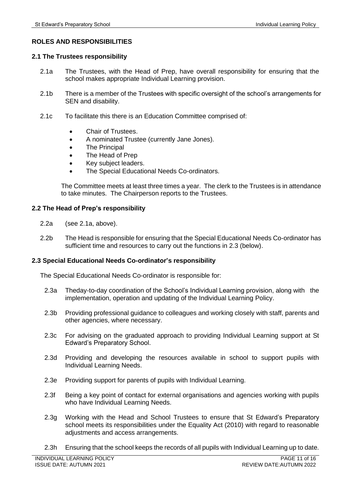## **ROLES AND RESPONSIBILITIES**

## <span id="page-10-0"></span>**2.1 The Trustees responsibility**

- 2.1a The Trustees, with the Head of Prep, have overall responsibility for ensuring that the school makes appropriate Individual Learning provision.
- 2.1b There is a member of the Trustees with specific oversight of the school's arrangements for SEN and disability.
- 2.1c To facilitate this there is an Education Committee comprised of:
	- Chair of Trustees.
	- A nominated Trustee (currently Jane Jones).
	- The Principal
	- The Head of Prep
	- Key subject leaders.
	- The Special Educational Needs Co-ordinators.

The Committee meets at least three times a year. The clerk to the Trustees is in attendance to take minutes. The Chairperson reports to the Trustees.

## <span id="page-10-1"></span>**2.2 The Head of Prep's responsibility**

- 2.2a (see 2.1a, above).
- 2.2b The Head is responsible for ensuring that the Special Educational Needs Co-ordinator has sufficient time and resources to carry out the functions in 2.3 (below).

## <span id="page-10-2"></span>**2.3 Special Educational Needs Co-ordinator's responsibility**

The Special Educational Needs Co-ordinator is responsible for:

- 2.3a Theday-to-day coordination of the School's Individual Learning provision, along with the implementation, operation and updating of the Individual Learning Policy.
- 2.3b Providing professional guidance to colleagues and working closely with staff, parents and other agencies, where necessary.
- 2.3c For advising on the graduated approach to providing Individual Learning support at St Edward's Preparatory School.
- 2.3d Providing and developing the resources available in school to support pupils with Individual Learning Needs.
- 2.3e Providing support for parents of pupils with Individual Learning.
- 2.3f Being a key point of contact for external organisations and agencies working with pupils who have Individual Learning Needs.
- 2.3g Working with the Head and School Trustees to ensure that St Edward's Preparatory school meets its responsibilities under the Equality Act (2010) with regard to reasonable adjustments and access arrangements.
- 2.3h Ensuring that the school keeps the records of all pupils with Individual Learning up to date.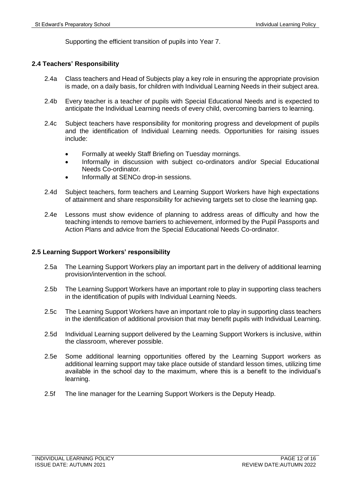Supporting the efficient transition of pupils into Year 7.

## <span id="page-11-0"></span>**2.4 Teachers' Responsibility**

- 2.4a Class teachers and Head of Subjects play a key role in ensuring the appropriate provision is made, on a daily basis, for children with Individual Learning Needs in their subject area.
- 2.4b Every teacher is a teacher of pupils with Special Educational Needs and is expected to anticipate the Individual Learning needs of every child, overcoming barriers to learning.
- 2.4c Subject teachers have responsibility for monitoring progress and development of pupils and the identification of Individual Learning needs. Opportunities for raising issues include:
	- Formally at weekly Staff Briefing on Tuesday mornings.
	- Informally in discussion with subject co-ordinators and/or Special Educational Needs Co-ordinator.
	- Informally at SENCo drop-in sessions.
- 2.4d Subject teachers, form teachers and Learning Support Workers have high expectations of attainment and share responsibility for achieving targets set to close the learning gap.
- 2.4e Lessons must show evidence of planning to address areas of difficulty and how the teaching intends to remove barriers to achievement, informed by the Pupil Passports and Action Plans and advice from the Special Educational Needs Co-ordinator.

## <span id="page-11-1"></span>**2.5 Learning Support Workers' responsibility**

- 2.5a The Learning Support Workers play an important part in the delivery of additional learning provision/intervention in the school.
- 2.5b The Learning Support Workers have an important role to play in supporting class teachers in the identification of pupils with Individual Learning Needs.
- 2.5c The Learning Support Workers have an important role to play in supporting class teachers in the identification of additional provision that may benefit pupils with Individual Learning.
- 2.5d Individual Learning support delivered by the Learning Support Workers is inclusive, within the classroom, wherever possible.
- 2.5e Some additional learning opportunities offered by the Learning Support workers as additional learning support may take place outside of standard lesson times, utilizing time available in the school day to the maximum, where this is a benefit to the individual's learning.
- 2.5f The line manager for the Learning Support Workers is the Deputy Headp.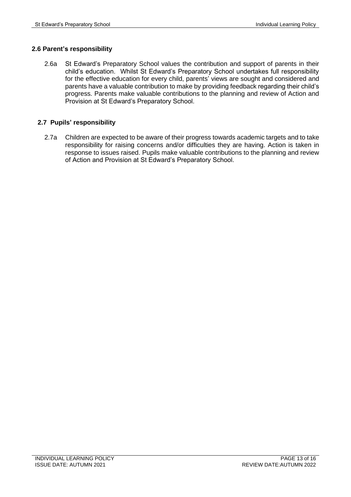## <span id="page-12-0"></span>**2.6 Parent's responsibility**

2.6a St Edward's Preparatory School values the contribution and support of parents in their child's education. Whilst St Edward's Preparatory School undertakes full responsibility for the effective education for every child, parents' views are sought and considered and parents have a valuable contribution to make by providing feedback regarding their child's progress. Parents make valuable contributions to the planning and review of Action and Provision at St Edward's Preparatory School.

## <span id="page-12-1"></span>**2.7 Pupils' responsibility**

2.7a Children are expected to be aware of their progress towards academic targets and to take responsibility for raising concerns and/or difficulties they are having. Action is taken in response to issues raised. Pupils make valuable contributions to the planning and review of Action and Provision at St Edward's Preparatory School.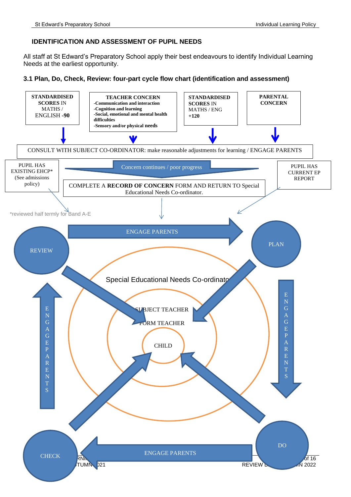## <span id="page-13-0"></span>**IDENTIFICATION AND ASSESSMENT OF PUPIL NEEDS**

All staff at St Edward's Preparatory School apply their best endeavours to identify Individual Learning Needs at the earliest opportunity.

### <span id="page-13-1"></span>**3.1 Plan, Do, Check, Review: four-part cycle flow chart (identification and assessment)**

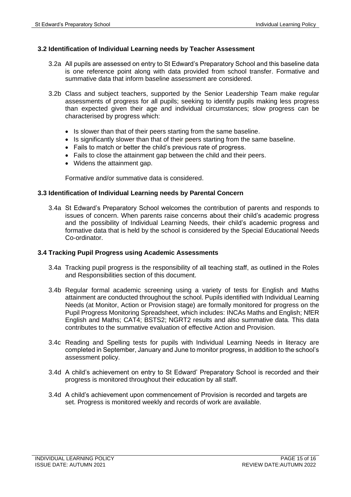## <span id="page-14-0"></span>**3.2 Identification of Individual Learning needs by Teacher Assessment**

- 3.2a All pupils are assessed on entry to St Edward's Preparatory School and this baseline data is one reference point along with data provided from school transfer. Formative and summative data that inform baseline assessment are considered.
- 3.2b Class and subject teachers, supported by the Senior Leadership Team make regular assessments of progress for all pupils; seeking to identify pupils making less progress than expected given their age and individual circumstances; slow progress can be characterised by progress which:
	- Is slower than that of their peers starting from the same baseline.
	- Is significantly slower than that of their peers starting from the same baseline.
	- Fails to match or better the child's previous rate of progress.
	- Fails to close the attainment gap between the child and their peers.
	- Widens the attainment gap.

Formative and/or summative data is considered.

## <span id="page-14-1"></span>**3.3 Identification of Individual Learning needs by Parental Concern**

3.4a St Edward's Preparatory School welcomes the contribution of parents and responds to issues of concern. When parents raise concerns about their child's academic progress and the possibility of Individual Learning Needs, their child's academic progress and formative data that is held by the school is considered by the Special Educational Needs Co-ordinator.

## <span id="page-14-2"></span>**3.4 Tracking Pupil Progress using Academic Assessments**

- 3.4a Tracking pupil progress is the responsibility of all teaching staff, as outlined in the Roles and Responsibilities section of this document.
- 3.4b Regular formal academic screening using a variety of tests for English and Maths attainment are conducted throughout the school. Pupils identified with Individual Learning Needs (at Monitor, Action or Provision stage) are formally monitored for progress on the Pupil Progress Monitoring Spreadsheet, which includes: INCAs Maths and English; NfER English and Maths; CAT4; BSTS2; NGRT2 results and also summative data. This data contributes to the summative evaluation of effective Action and Provision.
- 3.4c Reading and Spelling tests for pupils with Individual Learning Needs in literacy are completed in September, January and June to monitor progress, in addition to the school's assessment policy.
- 3.4d A child's achievement on entry to St Edward' Preparatory School is recorded and their progress is monitored throughout their education by all staff.
- 3.4d A child's achievement upon commencement of Provision is recorded and targets are set. Progress is monitored weekly and records of work are available.